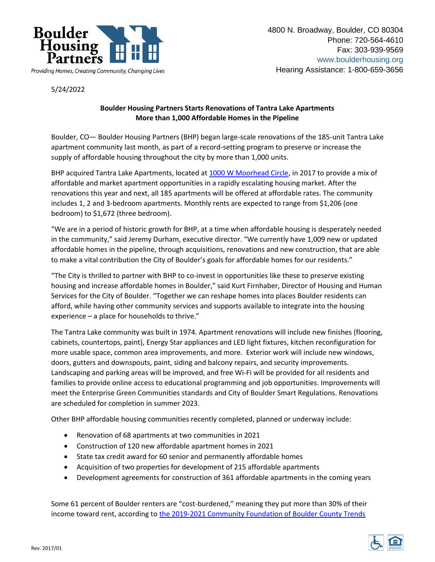

5/24/2022

## **Boulder Housing Partners Starts Renovations of Tantra Lake Apartments More than 1,000 Affordable Homes in the Pipeline**

Boulder, CO— Boulder Housing Partners (BHP) began large-scale renovations of the 185-unit Tantra Lake apartment community last month, as part of a record-setting program to preserve or increase the supply of affordable housing throughout the city by more than 1,000 units.

BHP acquired Tantra Lake Apartments, located a[t 1000 W Moorhead Circle,](https://tantralakeapthomes.com/) in 2017 to provide a mix of affordable and market apartment opportunities in a rapidly escalating housing market. After the renovations this year and next, all 185 apartments will be offered at affordable rates. The community includes 1, 2 and 3-bedroom apartments. Monthly rents are expected to range from \$1,206 (one bedroom) to \$1,672 (three bedroom).

"We are in a period of historic growth for BHP, at a time when affordable housing is desperately needed in the community," said Jeremy Durham, executive director. "We currently have 1,009 new or updated affordable homes in the pipeline, through acquisitions, renovations and new construction, that are able to make a vital contribution the City of Boulder's goals for affordable homes for our residents."

"The City is thrilled to partner with BHP to co-invest in opportunities like these to preserve existing housing and increase affordable homes in Boulder," said Kurt Firnhaber, Director of Housing and Human Services for the City of Boulder. "Together we can reshape homes into places Boulder residents can afford, while having other community services and supports available to integrate into the housing experience – a place for households to thrive."

The Tantra Lake community was built in 1974. Apartment renovations will include new finishes (flooring, cabinets, countertops, paint), Energy Star appliances and LED light fixtures, kitchen reconfiguration for more usable space, common area improvements, and more. Exterior work will include new windows, doors, gutters and downspouts, paint, siding and balcony repairs, and security improvements. Landscaping and parking areas will be improved, and free Wi-Fi will be provided for all residents and families to provide online access to educational programming and job opportunities. Improvements will meet the Enterprise Green Communities standards and City of Boulder Smart Regulations. Renovations are scheduled for completion in summer 2023.

Other BHP affordable housing communities recently completed, planned or underway include:

- Renovation of 68 apartments at two communities in 2021
- Construction of 120 new affordable apartment homes in 2021
- State tax credit award for 60 senior and permanently affordable homes
- Acquisition of two properties for development of 215 affordable apartments
- Development agreements for construction of 361 affordable apartments in the coming years

Some 61 percent of Boulder renters are "cost-burdened," meaning they put more than 30% of their income toward rent, according to [the 2019-2021 Community Foundation of Boulder County Trends](https://www.commfound.org/trends-2019/economy-indicators)